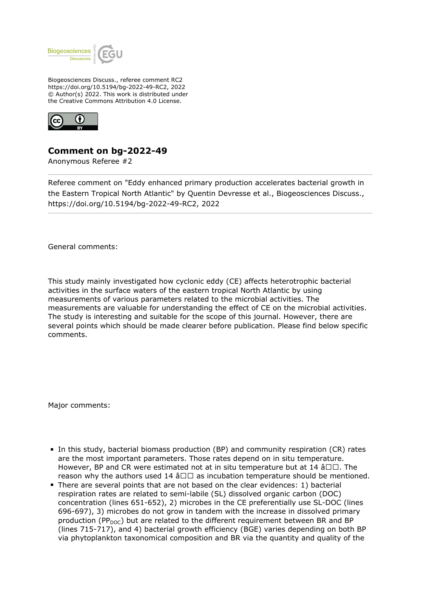

Biogeosciences Discuss., referee comment RC2 https://doi.org/10.5194/bg-2022-49-RC2, 2022 © Author(s) 2022. This work is distributed under the Creative Commons Attribution 4.0 License.



## **Comment on bg-2022-49**

Anonymous Referee #2

Referee comment on "Eddy enhanced primary production accelerates bacterial growth in the Eastern Tropical North Atlantic" by Quentin Devresse et al., Biogeosciences Discuss., https://doi.org/10.5194/bg-2022-49-RC2, 2022

General comments:

This study mainly investigated how cyclonic eddy (CE) affects heterotrophic bacterial activities in the surface waters of the eastern tropical North Atlantic by using measurements of various parameters related to the microbial activities. The measurements are valuable for understanding the effect of CE on the microbial activities. The study is interesting and suitable for the scope of this journal. However, there are several points which should be made clearer before publication. Please find below specific comments.

Major comments:

- In this study, bacterial biomass production (BP) and community respiration (CR) rates are the most important parameters. Those rates depend on in situ temperature. However, BP and CR were estimated not at in situ temperature but at 14  $\hat{a}\Box\Box$ . The reason why the authors used 14  $\hat{a} \Box \Box$  as incubation temperature should be mentioned.
- There are several points that are not based on the clear evidences: 1) bacterial respiration rates are related to semi-labile (SL) dissolved organic carbon (DOC) concentration (lines 651-652), 2) microbes in the CE preferentially use SL-DOC (lines 696-697), 3) microbes do not grow in tandem with the increase in dissolved primary production (PP<sub>DOC</sub>) but are related to the different requirement between BR and BP (lines 715-717), and 4) bacterial growth efficiency (BGE) varies depending on both BP via phytoplankton taxonomical composition and BR via the quantity and quality of the